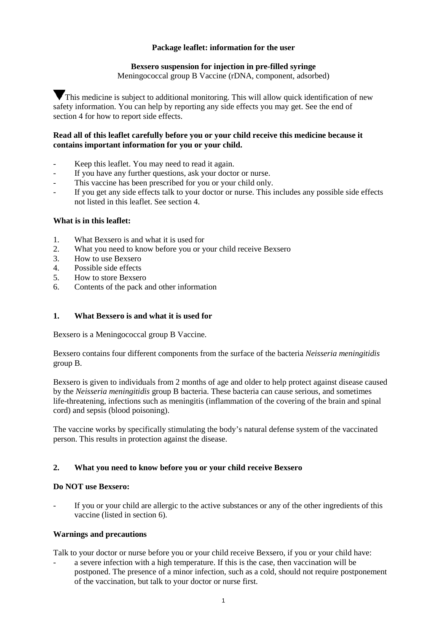## **Package leaflet: information for the user**

## **Bexsero suspension for injection in pre-filled syringe**

Meningococcal group B Vaccine (rDNA, component, adsorbed)

This medicine is subject to additional monitoring. This will allow quick identification of new safety information. You can help by reporting any side effects you may get. See the end of section 4 for how to report side effects.

## **Read all of this leaflet carefully before you or your child receive this medicine because it contains important information for you or your child.**

- Keep this leaflet. You may need to read it again.
- If you have any further questions, ask your doctor or nurse.
- This vaccine has been prescribed for you or your child only.
- If you get any side effects talk to your doctor or nurse. This includes any possible side effects not listed in this leaflet. See section 4.

## **What is in this leaflet:**

- 1. What Bexsero is and what it is used for
- 2. What you need to know before you or your child receive Bexsero
- 3. How to use Bexsero<br>4. Possible side effects
- 4. Possible side effects<br>5. How to store Bexser
- 5. How to store Bexsero
- 6. Contents of the pack and other information

## **1. What Bexsero is and what it is used for**

Bexsero is a Meningococcal group B Vaccine.

Bexsero contains four different components from the surface of the bacteria *Neisseria meningitidis* group B.

Bexsero is given to individuals from 2 months of age and older to help protect against disease caused by the *Neisseria meningitidis* group B bacteria. These bacteria can cause serious, and sometimes life-threatening, infections such as meningitis (inflammation of the covering of the brain and spinal cord) and sepsis (blood poisoning).

The vaccine works by specifically stimulating the body's natural defense system of the vaccinated person. This results in protection against the disease.

## **2. What you need to know before you or your child receive Bexsero**

## **Do NOT use Bexsero:**

If you or your child are allergic to the active substances or any of the other ingredients of this vaccine (listed in section 6).

## **Warnings and precautions**

Talk to your doctor or nurse before you or your child receive Bexsero, if you or your child have:

a severe infection with a high temperature. If this is the case, then vaccination will be postponed. The presence of a minor infection, such as a cold, should not require postponement of the vaccination, but talk to your doctor or nurse first.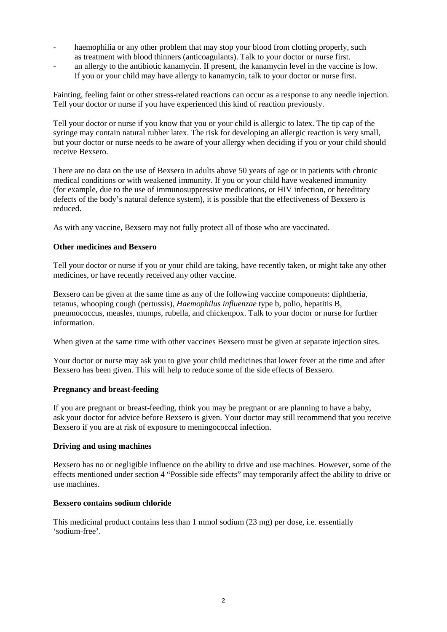- haemophilia or any other problem that may stop your blood from clotting properly, such as treatment with blood thinners (anticoagulants). Talk to your doctor or nurse first.
- an allergy to the antibiotic kanamycin. If present, the kanamycin level in the vaccine is low. If you or your child may have allergy to kanamycin, talk to your doctor or nurse first.

Fainting, feeling faint or other stress-related reactions can occur as a response to any needle injection. Tell your doctor or nurse if you have experienced this kind of reaction previously.

Tell your doctor or nurse if you know that you or your child is allergic to latex. The tip cap of the syringe may contain natural rubber latex. The risk for developing an allergic reaction is very small, but your doctor or nurse needs to be aware of your allergy when deciding if you or your child should receive Bexsero.

There are no data on the use of Bexsero in adults above 50 years of age or in patients with chronic medical conditions or with weakened immunity. If you or your child have weakened immunity (for example, due to the use of immunosuppressive medications, or HIV infection, or hereditary defects of the body's natural defence system), it is possible that the effectiveness of Bexsero is reduced.

As with any vaccine, Bexsero may not fully protect all of those who are vaccinated.

## **Other medicines and Bexsero**

Tell your doctor or nurse if you or your child are taking, have recently taken, or might take any other medicines, or have recently received any other vaccine.

Bexsero can be given at the same time as any of the following vaccine components: diphtheria, tetanus, whooping cough (pertussis), *Haemophilus influenzae* type b, polio, hepatitis B, pneumococcus, measles, mumps, rubella, and chickenpox. Talk to your doctor or nurse for further information.

When given at the same time with other vaccines Bexsero must be given at separate injection sites.

Your doctor or nurse may ask you to give your child medicines that lower fever at the time and after Bexsero has been given. This will help to reduce some of the side effects of Bexsero.

## **Pregnancy and breast-feeding**

If you are pregnant or breast-feeding, think you may be pregnant or are planning to have a baby, ask your doctor for advice before Bexsero is given. Your doctor may still recommend that you receive Bexsero if you are at risk of exposure to meningococcal infection.

## **Driving and using machines**

Bexsero has no or negligible influence on the ability to drive and use machines. However, some of the effects mentioned under section 4 "Possible side effects" may temporarily affect the ability to drive or use machines.

## **Bexsero contains sodium chloride**

This medicinal product contains less than 1 mmol sodium (23 mg) per dose, i.e. essentially 'sodium-free'.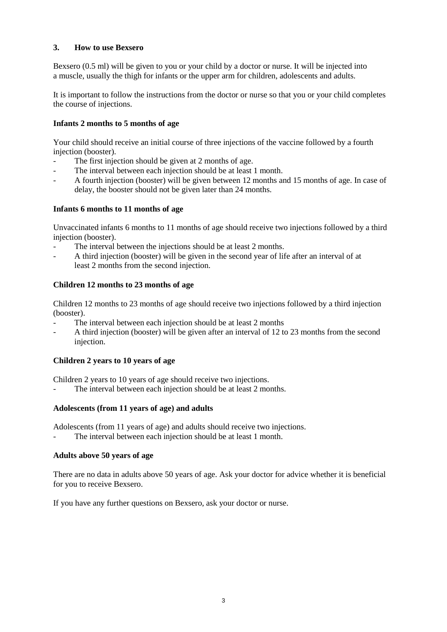## **3. How to use Bexsero**

Bexsero (0.5 ml) will be given to you or your child by a doctor or nurse. It will be injected into a muscle, usually the thigh for infants or the upper arm for children, adolescents and adults.

It is important to follow the instructions from the doctor or nurse so that you or your child completes the course of injections.

## **Infants 2 months to 5 months of age**

Your child should receive an initial course of three injections of the vaccine followed by a fourth injection (booster).

- The first injection should be given at 2 months of age.
- The interval between each injection should be at least 1 month.
- A fourth injection (booster) will be given between 12 months and 15 months of age. In case of delay, the booster should not be given later than 24 months.

## **Infants 6 months to 11 months of age**

Unvaccinated infants 6 months to 11 months of age should receive two injections followed by a third injection (booster).

- The interval between the injections should be at least 2 months.
- A third injection (booster) will be given in the second year of life after an interval of at least 2 months from the second injection.

## **Children 12 months to 23 months of age**

Children 12 months to 23 months of age should receive two injections followed by a third injection (booster).

- The interval between each injection should be at least 2 months
- A third injection (booster) will be given after an interval of 12 to 23 months from the second injection.

## **Children 2 years to 10 years of age**

Children 2 years to 10 years of age should receive two injections.

The interval between each injection should be at least 2 months.

## **Adolescents (from 11 years of age) and adults**

Adolescents (from 11 years of age) and adults should receive two injections.

The interval between each injection should be at least 1 month.

## **Adults above 50 years of age**

There are no data in adults above 50 years of age. Ask your doctor for advice whether it is beneficial for you to receive Bexsero.

If you have any further questions on Bexsero, ask your doctor or nurse.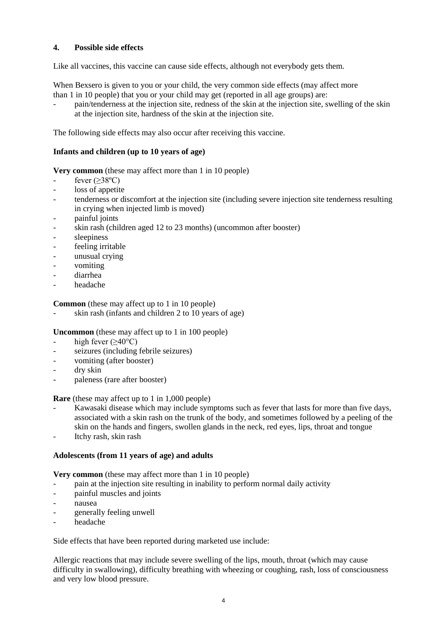## **4. Possible side effects**

Like all vaccines, this vaccine can cause side effects, although not everybody gets them.

When Bexsero is given to you or your child, the very common side effects (may affect more than 1 in 10 people) that you or your child may get (reported in all age groups) are:

- pain/tenderness at the injection site, redness of the skin at the injection site, swelling of the skin at the injection site, hardness of the skin at the injection site.

The following side effects may also occur after receiving this vaccine.

## **Infants and children (up to 10 years of age)**

**Very common** (these may affect more than 1 in 10 people)

- fever  $(\geq 38^{\circ}C)$
- loss of appetite
- tenderness or discomfort at the injection site (including severe injection site tenderness resulting in crying when injected limb is moved)
- painful joints
- skin rash (children aged 12 to 23 months) (uncommon after booster)
- sleepiness
- feeling irritable
- unusual crying
- vomiting
- diarrhea
- headache

**Common** (these may affect up to 1 in 10 people)

skin rash (infants and children 2 to 10 years of age)

**Uncommon** (these may affect up to 1 in 100 people)

- high fever  $(\geq 40^{\circ}C)$
- seizures (including febrile seizures)
- vomiting (after booster)
- dry skin
- paleness (rare after booster)

**Rare** (these may affect up to 1 in 1,000 people)

- Kawasaki disease which may include symptoms such as fever that lasts for more than five days, associated with a skin rash on the trunk of the body, and sometimes followed by a peeling of the skin on the hands and fingers, swollen glands in the neck, red eyes, lips, throat and tongue
- Itchy rash, skin rash

## **Adolescents (from 11 years of age) and adults**

**Very common** (these may affect more than 1 in 10 people)

- pain at the injection site resulting in inability to perform normal daily activity
- painful muscles and joints
- nausea
- generally feeling unwell
- headache

Side effects that have been reported during marketed use include:

Allergic reactions that may include severe swelling of the lips, mouth, throat (which may cause difficulty in swallowing), difficulty breathing with wheezing or coughing, rash, loss of consciousness and very low blood pressure.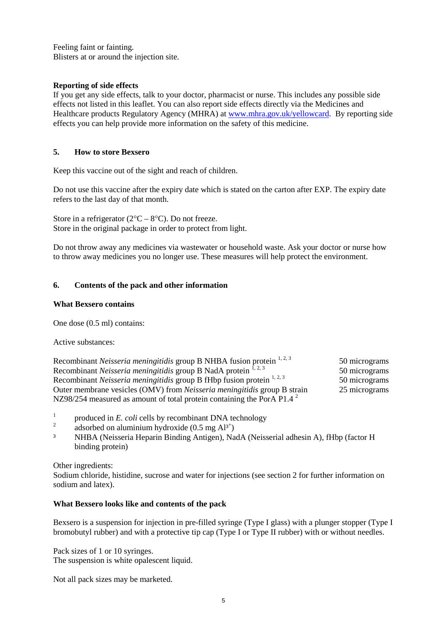Feeling faint or fainting. Blisters at or around the injection site.

## **Reporting of side effects**

If you get any side effects, talk to your doctor, pharmacist or nurse. This includes any possible side effects not listed in this leaflet. You can also report side effects directly via the Medicines and Healthcare products Regulatory Agency (MHRA) at [www.mhra.gov.uk/yellowcard.](http://www.mhra.gov.uk/yellowcard) By reporting side effects you can help provide more information on the safety of this medicine.

## **5. How to store Bexsero**

Keep this vaccine out of the sight and reach of children.

Do not use this vaccine after the expiry date which is stated on the carton after EXP. The expiry date refers to the last day of that month.

Store in a refrigerator  $(2^{\circ}C - 8^{\circ}C)$ . Do not freeze. Store in the original package in order to protect from light.

Do not throw away any medicines via wastewater or household waste. Ask your doctor or nurse how to throw away medicines you no longer use. These measures will help protect the environment.

## **6. Contents of the pack and other information**

## **What Bexsero contains**

One dose (0.5 ml) contains:

Active substances:

| Recombinant Neisseria meningitidis group B NHBA fusion protein <sup>1, 2, 3</sup>  | 50 micrograms |
|------------------------------------------------------------------------------------|---------------|
| Recombinant <i>Neisseria meningitidis</i> group B NadA protein $^{1, 2, 3}$        | 50 micrograms |
| Recombinant <i>Neisseria meningitidis</i> group B fHbp fusion protein $1, 2, 3$    | 50 micrograms |
| Outer membrane vesicles (OMV) from <i>Neisseria meningitidis</i> group B strain    | 25 micrograms |
| NZ98/254 measured as amount of total protein containing the PorA P1.4 <sup>2</sup> |               |

- $\frac{1}{2}$  produced in *E. coli* cells by recombinant DNA technology
- <sup>2</sup> adsorbed on aluminium hydroxide  $(0.5 \text{ mg } Al^{3+})$
- ³ NHBA (Neisseria Heparin Binding Antigen), NadA (Neisserial adhesin A), fHbp (factor H binding protein)

Other ingredients:

Sodium chloride, histidine, sucrose and water for injections (see section 2 for further information on sodium and latex).

## **What Bexsero looks like and contents of the pack**

Bexsero is a suspension for injection in pre-filled syringe (Type I glass) with a plunger stopper (Type I bromobutyl rubber) and with a protective tip cap (Type I or Type II rubber) with or without needles.

Pack sizes of 1 or 10 syringes. The suspension is white opalescent liquid.

Not all pack sizes may be marketed.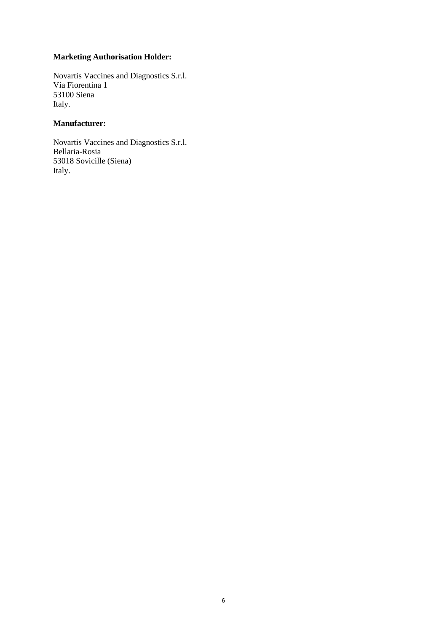## **Marketing Authorisation Holder:**

Novartis Vaccines and Diagnostics S.r.l. Via Fiorentina 1 53100 Siena Italy.

## **Manufacturer:**

Novartis Vaccines and Diagnostics S.r.l. Bellaria-Rosia 53018 Sovicille (Siena) Italy.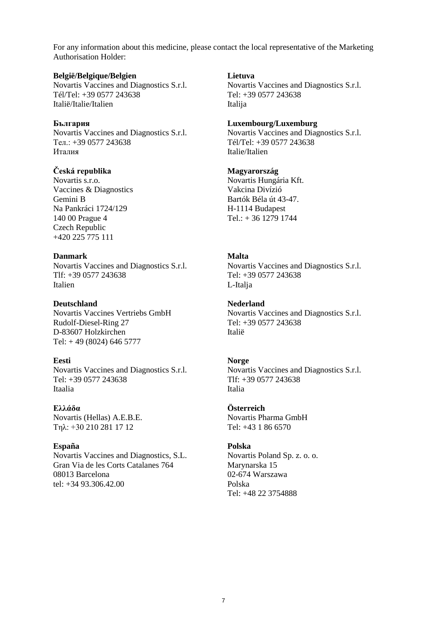For any information about this medicine, please contact the local representative of the Marketing Authorisation Holder:

#### **België/Belgique/Belgien**

Novartis Vaccines and Diagnostics S.r.l. Tél/Tel: +39 0577 243638 Italië/Italie/Italien

#### **България**

Novartis Vaccines and Diagnostics S.r.l. Teл.: +39 0577 243638 Италия

## **Česká republika**

Novartis s.r.o. Vaccines & Diagnostics Gemini B Na Pankráci 1724/129 140 00 Prague 4 Czech Republic +420 225 775 111

#### **Danmark**

Novartis Vaccines and Diagnostics S.r.l. Tlf: +39 0577 243638 Italien

**Deutschland** Novartis Vaccines Vertriebs GmbH Rudolf-Diesel-Ring 27 D-83607 Holzkirchen

# Tel: + 49 (8024) 646 5777

## **Eesti**

Novartis Vaccines and Diagnostics S.r.l. Tel: +39 0577 243638 Itaalia

## **Ελλάδα**

Novartis (Hellas) A.E.B.E. Τηλ: +30 210 281 17 12

## **España**

Novartis Vaccines and Diagnostics, S.L. Gran Via de les Corts Catalanes 764 08013 Barcelona tel: +34 93.306.42.00

#### **Lietuva**

Novartis Vaccines and Diagnostics S.r.l. Tel: +39 0577 243638 Italija

#### **Luxembourg/Luxemburg**

Novartis Vaccines and Diagnostics S.r.l. Tél/Tel: +39 0577 243638 Italie/Italien

#### **Magyarország**

Novartis Hungária Kft. Vakcina Divízió Bartók Béla út 43-47. H-1114 Budapest Tel.: + 36 1279 1744

## **Malta**

Novartis Vaccines and Diagnostics S.r.l. Tel: +39 0577 243638 L-Italja

## **Nederland**

Novartis Vaccines and Diagnostics S.r.l. Tel: +39 0577 243638 Italië

## **Norge**

Novartis Vaccines and Diagnostics S.r.l. Tlf: +39 0577 243638 Italia

## **Österreich**

Novartis Pharma GmbH Tel: +43 1 86 6570

## **Polska**

Novartis Poland Sp. z. o. o. Marynarska 15 02-674 Warszawa Polska Tel: +48 22 3754888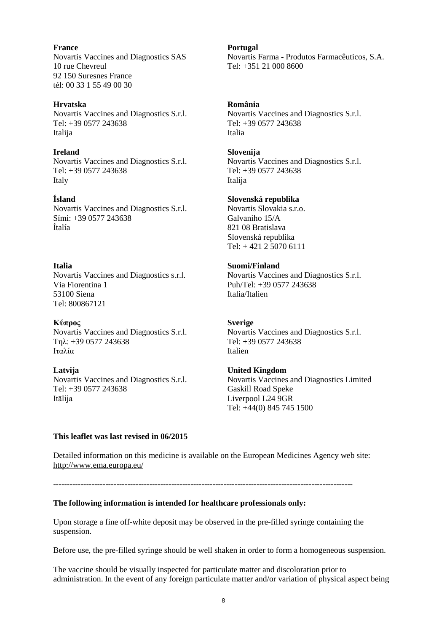**France** Novartis Vaccines and Diagnostics SAS 10 rue Chevreul 92 150 Suresnes France tél: 00 33 1 55 49 00 30

## **Hrvatska**

Novartis Vaccines and Diagnostics S.r.l. Tel: +39 0577 243638 Italija

#### **Ireland**

Novartis Vaccines and Diagnostics S.r.l. Tel: +39 0577 243638 Italy

## **Ísland**

Novartis Vaccines and Diagnostics S.r.l. Sími: +39 0577 243638 Ítalía

## **Italia**

Novartis Vaccines and Diagnostics s.r.l. Via Fiorentina 1 53100 Siena Tel: 800867121

**Κύπρος** Novartis Vaccines and Diagnostics S.r.l. Τηλ: +39 0577 243638 Ιταλία

**Latvija** Novartis Vaccines and Diagnostics S.r.l. Tel: +39 0577 243638 Itālija

**Portugal** Novartis Farma - Produtos Farmacêuticos, S.A. Tel: +351 21 000 8600

## **România**

Novartis Vaccines and Diagnostics S.r.l. Tel: +39 0577 243638 Italia

#### **Slovenija**

Novartis Vaccines and Diagnostics S.r.l. Tel: +39 0577 243638 Italija

## **Slovenská republika**

Novartis Slovakia s.r.o. Galvaniho 15/A 821 08 Bratislava Slovenská republika Tel: + 421 2 5070 6111

## **Suomi/Finland**

Novartis Vaccines and Diagnostics S.r.l. Puh/Tel: +39 0577 243638 Italia/Italien

## **Sverige**

Novartis Vaccines and Diagnostics S.r.l. Tel: +39 0577 243638 Italien

## **United Kingdom**

Novartis Vaccines and Diagnostics Limited Gaskill Road Speke Liverpool L24 9GR Tel: +44(0) 845 745 1500

## **This leaflet was last revised in 06/2015**

Detailed information on this medicine is available on the European Medicines Agency web site: <http://www.ema.europa.eu/>

-------------------------------------------------------------------------------------------------------------

## **The following information is intended for healthcare professionals only:**

Upon storage a fine off-white deposit may be observed in the pre-filled syringe containing the suspension.

Before use, the pre-filled syringe should be well shaken in order to form a homogeneous suspension.

The vaccine should be visually inspected for particulate matter and discoloration prior to administration. In the event of any foreign particulate matter and/or variation of physical aspect being